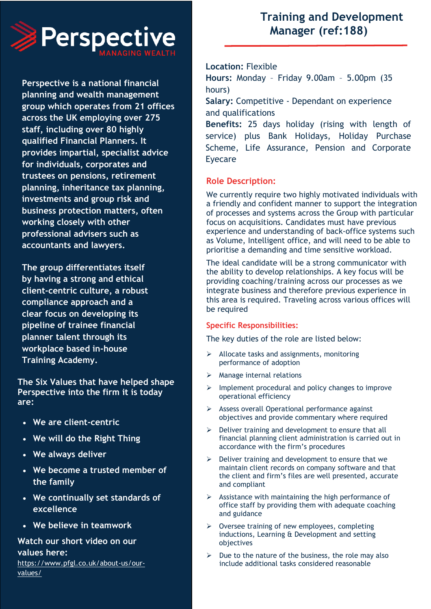

**Perspective is a national financial planning and wealth management group which operates from 21 offices across the UK employing over 275 staff, including over 80 highly qualified Financial Planners. It provides impartial, specialist advice for individuals, corporates and trustees on pensions, retirement planning, inheritance tax planning, investments and group risk and business protection matters, often working closely with other professional advisers such as accountants and lawyers.**

**The group differentiates itself by having a strong and ethical client-centric culture, a robust compliance approach and a clear focus on developing its pipeline of trainee financial planner talent through its workplace based in-house Training Academy.**

**The Six Values that have helped shape Perspective into the firm it is today are:**

- **We are client-centric**
- **We will do the Right Thing**
- **We always deliver**
- **We become a trusted member of the family**
- **We continually set standards of excellence**
- **We believe in teamwork**

# **Watch our short video on our values here:** [https://www.pfgl.co.uk/about-us/our](https://www.pfgl.co.uk/about-us/our-values/)[values/](https://www.pfgl.co.uk/about-us/our-values/)

# **Training and Development Manager (ref:188)**

### **Location:** Flexible

**Hours:** Monday – Friday 9.00am – 5.00pm (35 hours)

**Salary:** Competitive - Dependant on experience and qualifications

**Benefits:** 25 days holiday (rising with length of service) plus Bank Holidays, Holiday Purchase Scheme, Life Assurance, Pension and Corporate Eyecare

# **Role Description:**

We currently require two highly motivated individuals with a friendly and confident manner to support the integration of processes and systems across the Group with particular focus on acquisitions. Candidates must have previous experience and understanding of back-office systems such as Volume, Intelligent office, and will need to be able to prioritise a demanding and time sensitive workload.

The ideal candidate will be a strong communicator with the ability to develop relationships. A key focus will be providing coaching/training across our processes as we integrate business and therefore previous experience in this area is required. Traveling across various offices will be required

#### **Specific Responsibilities:**

The key duties of the role are listed below:

- ➢ Allocate tasks and assignments, monitoring performance of adoption
- ➢ Manage internal relations
- ➢ Implement procedural and policy changes to improve operational efficiency
- ➢ Assess overall Operational performance against objectives and provide commentary where required
- ➢ Deliver training and development to ensure that all financial planning client administration is carried out in accordance with the firm's procedures
- ➢ Deliver training and development to ensure that we maintain client records on company software and that the client and firm's files are well presented, accurate and compliant
- $\triangleright$  Assistance with maintaining the high performance of office staff by providing them with adequate coaching and guidance
- ➢ Oversee training of new employees, completing inductions, Learning & Development and setting objectives
- Due to the nature of the business, the role may also include additional tasks considered reasonable